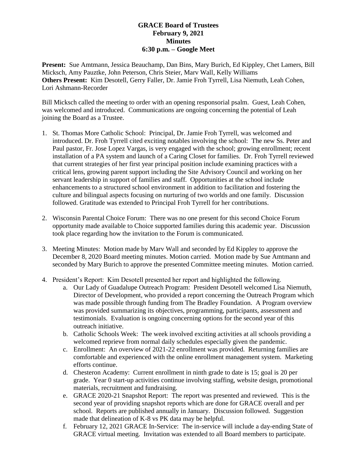## **GRACE Board of Trustees February 9, 2021 Minutes 6:30 p.m. – Google Meet**

**Present:** Sue Amtmann, Jessica Beauchamp, Dan Bins, Mary Burich, Ed Kippley, Chet Lamers, Bill Micksch, Amy Pauztke, John Peterson, Chris Steier, Marv Wall, Kelly Williams **Others Present:** Kim Desotell, Gerry Faller, Dr. Jamie Froh Tyrrell, Lisa Niemuth, Leah Cohen, Lori Ashmann-Recorder

Bill Micksch called the meeting to order with an opening responsorial psalm. Guest, Leah Cohen, was welcomed and introduced. Communications are ongoing concerning the potential of Leah joining the Board as a Trustee.

- 1. St. Thomas More Catholic School: Principal, Dr. Jamie Froh Tyrrell, was welcomed and introduced. Dr. Froh Tyrrell cited exciting notables involving the school: The new Ss. Peter and Paul pastor, Fr. Jose Lopez Vargas, is very engaged with the school; growing enrollment; recent installation of a PA system and launch of a Caring Closet for families. Dr. Froh Tyrrell reviewed that current strategies of her first year principal position include examining practices with a critical lens, growing parent support including the Site Advisory Council and working on her servant leadership in support of families and staff. Opportunities at the school include enhancements to a structured school environment in addition to facilitation and fostering the culture and bilingual aspects focusing on nurturing of two worlds and one family. Discussion followed. Gratitude was extended to Principal Froh Tyrrell for her contributions.
- 2. Wisconsin Parental Choice Forum: There was no one present for this second Choice Forum opportunity made available to Choice supported families during this academic year. Discussion took place regarding how the invitation to the Forum is communicated.
- 3. Meeting Minutes: Motion made by Marv Wall and seconded by Ed Kippley to approve the December 8, 2020 Board meeting minutes. Motion carried. Motion made by Sue Amtmann and seconded by Mary Burich to approve the presented Committee meeting minutes. Motion carried.
- 4. President's Report: Kim Desotell presented her report and highlighted the following.
	- a. Our Lady of Guadalupe Outreach Program: President Desotell welcomed Lisa Niemuth, Director of Development, who provided a report concerning the Outreach Program which was made possible through funding from The Bradley Foundation. A Program overview was provided summarizing its objectives, programming, participants, assessment and testimonials. Evaluation is ongoing concerning options for the second year of this outreach initiative.
	- b. Catholic Schools Week: The week involved exciting activities at all schools providing a welcomed reprieve from normal daily schedules especially given the pandemic.
	- c. Enrollment: An overview of 2021-22 enrollment was provided. Returning families are comfortable and experienced with the online enrollment management system. Marketing efforts continue.
	- d. Chesteron Academy: Current enrollment in ninth grade to date is 15; goal is 20 per grade. Year 0 start-up activities continue involving staffing, website design, promotional materials, recruitment and fundraising.
	- e. GRACE 2020-21 Snapshot Report: The report was presented and reviewed. This is the second year of providing snapshot reports which are done for GRACE overall and per school. Reports are published annually in January. Discussion followed. Suggestion made that delineation of K-8 vs PK data may be helpful.
	- f. February 12, 2021 GRACE In-Service: The in-service will include a day-ending State of GRACE virtual meeting. Invitation was extended to all Board members to participate.